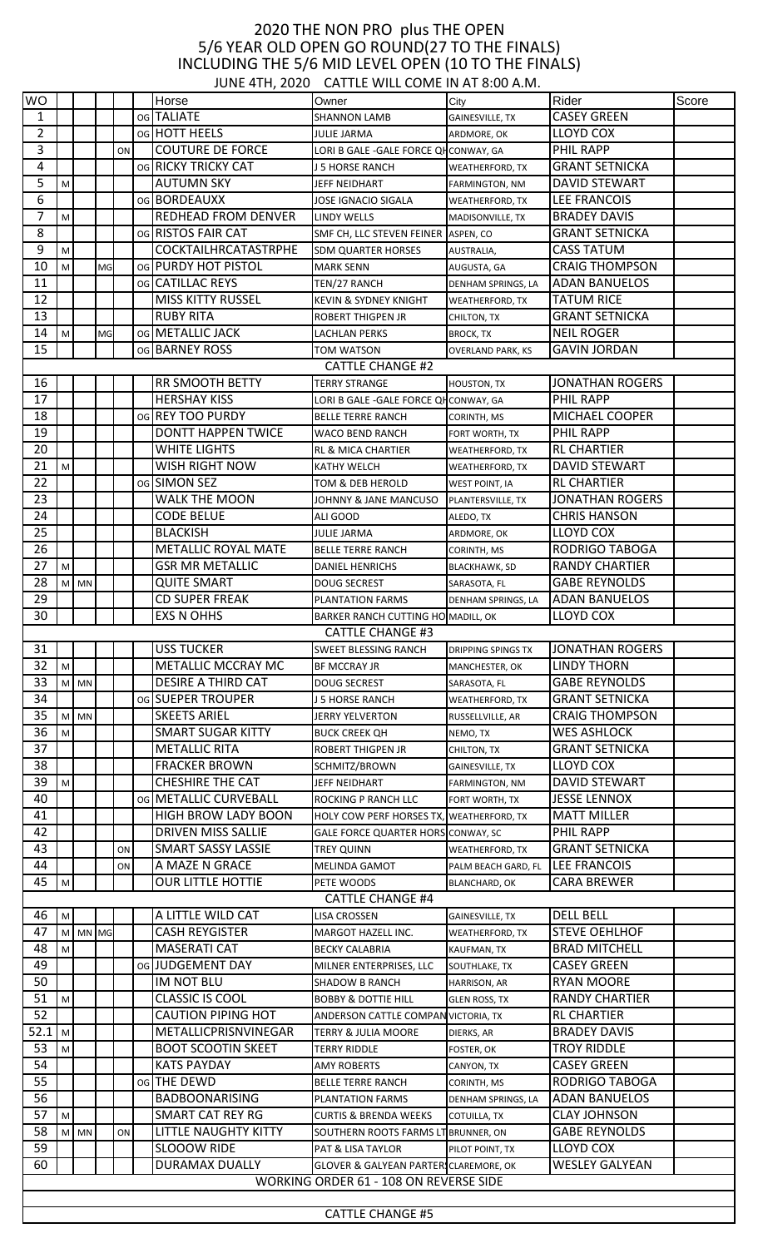## 2020 THE NON PRO plus THE OPEN 5/6 YEAR OLD OPEN GO ROUND(27 TO THE FINALS) INCLUDING THE 5/6 MID LEVEL OPEN (10 TO THE FINALS) JUNE 4TH, 2020 CATTLE WILL COME IN AT 8:00 A.M.

|                |                         |         |    |    |  |                              | JUNE 4TH, 2020 CATTLE WILL CUIVIE IN AT 8.00 A.M. |                           |                        |       |
|----------------|-------------------------|---------|----|----|--|------------------------------|---------------------------------------------------|---------------------------|------------------------|-------|
| <b>WO</b>      |                         |         |    |    |  | Horse                        | Owner                                             | City                      | Rider                  | Score |
| 1              |                         |         |    |    |  | og TALIATE                   | <b>SHANNON LAMB</b>                               | <b>GAINESVILLE, TX</b>    | <b>CASEY GREEN</b>     |       |
| $\overline{2}$ |                         |         |    |    |  | og HOTT HEELS                | <b>JULIE JARMA</b>                                | ARDMORE, OK               | <b>LLOYD COX</b>       |       |
| 3              |                         |         |    | ON |  | <b>COUTURE DE FORCE</b>      | LORI B GALE - GALE FORCE QH CONWAY, GA            |                           | PHIL RAPP              |       |
| 4              |                         |         |    |    |  | <b>OG RICKY TRICKY CAT</b>   | J 5 HORSE RANCH                                   | <b>WEATHERFORD, TX</b>    | <b>GRANT SETNICKA</b>  |       |
|                |                         |         |    |    |  |                              |                                                   |                           |                        |       |
| 5              | M.                      |         |    |    |  | <b>AUTUMN SKY</b>            | JEFF NEIDHART                                     | FARMINGTON, NM            | <b>DAVID STEWART</b>   |       |
| 6              |                         |         |    |    |  | og BORDEAUXX                 | <b>JOSE IGNACIO SIGALA</b>                        | <b>WEATHERFORD, TX</b>    | <b>LEE FRANCOIS</b>    |       |
| 7              | M                       |         |    |    |  | <b>REDHEAD FROM DENVER</b>   | <b>LINDY WELLS</b>                                | MADISONVILLE, TX          | <b>BRADEY DAVIS</b>    |       |
| 8              |                         |         |    |    |  | og RISTOS FAIR CAT           | SMF CH, LLC STEVEN FEINER                         | ASPEN, CO                 | <b>GRANT SETNICKA</b>  |       |
| 9              | M <sup>1</sup>          |         |    |    |  | COCKTAILHRCATASTRPHE         | <b>SDM QUARTER HORSES</b>                         | AUSTRALIA,                | <b>CASS TATUM</b>      |       |
| 10             | M                       |         | MG |    |  | og PURDY HOT PISTOL          | <b>MARK SENN</b>                                  | AUGUSTA, GA               | <b>CRAIG THOMPSON</b>  |       |
| 11             |                         |         |    |    |  | <b>OG CATILLAC REYS</b>      |                                                   | DENHAM SPRINGS, LA        | <b>ADAN BANUELOS</b>   |       |
|                |                         |         |    |    |  |                              | TEN/27 RANCH                                      |                           |                        |       |
| 12             |                         |         |    |    |  | <b>MISS KITTY RUSSEL</b>     | <b>KEVIN &amp; SYDNEY KNIGHT</b>                  | <b>WEATHERFORD, TX</b>    | <b>TATUM RICE</b>      |       |
| 13             |                         |         |    |    |  | <b>RUBY RITA</b>             | <b>ROBERT THIGPEN JR</b>                          | CHILTON, TX               | <b>GRANT SETNICKA</b>  |       |
| 14             | M                       |         | MG |    |  | og METALLIC JACK             | <b>LACHLAN PERKS</b>                              | <b>BROCK, TX</b>          | <b>NEIL ROGER</b>      |       |
| 15             |                         |         |    |    |  | OG BARNEY ROSS               | TOM WATSON                                        | <b>OVERLAND PARK, KS</b>  | <b>GAVIN JORDAN</b>    |       |
|                |                         |         |    |    |  |                              | <b>CATTLE CHANGE #2</b>                           |                           |                        |       |
| 16             |                         |         |    |    |  | <b>RR SMOOTH BETTY</b>       | <b>TERRY STRANGE</b>                              | <b>HOUSTON, TX</b>        | <b>JONATHAN ROGERS</b> |       |
| 17             |                         |         |    |    |  | <b>HERSHAY KISS</b>          | LORI B GALE - GALE FORCE QH CONWAY, GA            |                           | PHIL RAPP              |       |
|                |                         |         |    |    |  |                              |                                                   |                           |                        |       |
| 18             |                         |         |    |    |  | og REY TOO PURDY             | <b>BELLE TERRE RANCH</b>                          | CORINTH, MS               | <b>MICHAEL COOPER</b>  |       |
| 19             |                         |         |    |    |  | <b>DONTT HAPPEN TWICE</b>    | WACO BEND RANCH                                   | FORT WORTH, TX            | PHIL RAPP              |       |
| 20             |                         |         |    |    |  | <b>WHITE LIGHTS</b>          | <b>RL &amp; MICA CHARTIER</b>                     | <b>WEATHERFORD, TX</b>    | <b>RL CHARTIER</b>     |       |
| 21             | M                       |         |    |    |  | WISH RIGHT NOW               | <b>KATHY WELCH</b>                                | <b>WEATHERFORD, TX</b>    | <b>DAVID STEWART</b>   |       |
| 22             |                         |         |    |    |  | og SIMON SEZ                 | TOM & DEB HEROLD                                  | <b>WEST POINT, IA</b>     | <b>RL CHARTIER</b>     |       |
| 23             |                         |         |    |    |  | WALK THE MOON                | JOHNNY & JANE MANCUSO                             | PLANTERSVILLE, TX         | <b>JONATHAN ROGERS</b> |       |
| 24             |                         |         |    |    |  | <b>CODE BELUE</b>            | ALI GOOD                                          |                           | <b>CHRIS HANSON</b>    |       |
|                |                         |         |    |    |  |                              |                                                   | ALEDO, TX                 |                        |       |
| 25             |                         |         |    |    |  | <b>BLACKISH</b>              | <b>JULIE JARMA</b>                                | ARDMORE, OK               | <b>LLOYD COX</b>       |       |
| 26             |                         |         |    |    |  | <b>METALLIC ROYAL MATE</b>   | <b>BELLE TERRE RANCH</b>                          | CORINTH, MS               | RODRIGO TABOGA         |       |
| 27             | M                       |         |    |    |  | <b>GSR MR METALLIC</b>       | <b>DANIEL HENRICHS</b>                            | <b>BLACKHAWK, SD</b>      | <b>RANDY CHARTIER</b>  |       |
| 28             |                         | M MN    |    |    |  | <b>QUITE SMART</b>           | <b>DOUG SECREST</b>                               | SARASOTA, FL              | <b>GABE REYNOLDS</b>   |       |
| 29             |                         |         |    |    |  | <b>CD SUPER FREAK</b>        | <b>PLANTATION FARMS</b>                           | DENHAM SPRINGS, LA        | <b>ADAN BANUELOS</b>   |       |
| 30             |                         |         |    |    |  | <b>EXS N OHHS</b>            | BARKER RANCH CUTTING HO MADILL, OK                |                           | <b>LLOYD COX</b>       |       |
|                |                         |         |    |    |  |                              | <b>CATTLE CHANGE #3</b>                           |                           |                        |       |
| 31             |                         |         |    |    |  | <b>USS TUCKER</b>            | <b>SWEET BLESSING RANCH</b>                       | <b>DRIPPING SPINGS TX</b> | <b>JONATHAN ROGERS</b> |       |
| 32             |                         |         |    |    |  | METALLIC MCCRAY MC           |                                                   |                           | <b>LINDY THORN</b>     |       |
|                | M.                      |         |    |    |  |                              | <b>BF MCCRAY JR</b>                               | MANCHESTER, OK            |                        |       |
| 33             |                         | M MN    |    |    |  | <b>DESIRE A THIRD CAT</b>    | <b>DOUG SECREST</b>                               | SARASOTA, FL              | <b>GABE REYNOLDS</b>   |       |
| 34             |                         |         |    |    |  | og SUEPER TROUPER            | J 5 HORSE RANCH                                   | WEATHERFORD, TX           | <b>GRANT SETNICKA</b>  |       |
| 35             |                         | M MN    |    |    |  | <b>SKEETS ARIEL</b>          | <b>JERRY YELVERTON</b>                            | RUSSELLVILLE, AR          | <b>CRAIG THOMPSON</b>  |       |
| 36             | M                       |         |    |    |  | <b>SMART SUGAR KITTY</b>     | <b>BUCK CREEK QH</b>                              | NEMO, TX                  | <b>WES ASHLOCK</b>     |       |
| 37             |                         |         |    |    |  | <b>METALLIC RITA</b>         | <b>ROBERT THIGPEN JR</b>                          | CHILTON, TX               | <b>GRANT SETNICKA</b>  |       |
| 38             |                         |         |    |    |  | <b>FRACKER BROWN</b>         | SCHMITZ/BROWN                                     | <b>GAINESVILLE, TX</b>    | LLOYD COX              |       |
| 39             | M                       |         |    |    |  | <b>CHESHIRE THE CAT</b>      | JEFF NEIDHART                                     | FARMINGTON, NM            | <b>DAVID STEWART</b>   |       |
| 40             |                         |         |    |    |  | <b>OG METALLIC CURVEBALL</b> | <b>ROCKING P RANCH LLC</b>                        |                           | <b>JESSE LENNOX</b>    |       |
|                |                         |         |    |    |  |                              |                                                   | FORT WORTH, TX            |                        |       |
| 41             |                         |         |    |    |  | <b>HIGH BROW LADY BOON</b>   | HOLY COW PERF HORSES TX, WEATHERFORD, TX          |                           | <b>MATT MILLER</b>     |       |
| 42             |                         |         |    |    |  | <b>DRIVEN MISS SALLIE</b>    | GALE FORCE QUARTER HORS CONWAY, SC                |                           | PHIL RAPP              |       |
| 43             |                         |         |    | ON |  | <b>SMART SASSY LASSIE</b>    | TREY QUINN                                        | <b>WEATHERFORD, TX</b>    | <b>GRANT SETNICKA</b>  |       |
| 44             |                         |         |    | ON |  | A MAZE N GRACE               | MELINDA GAMOT                                     | PALM BEACH GARD, FL       | <b>LEE FRANCOIS</b>    |       |
| 45             | M                       |         |    |    |  | <b>OUR LITTLE HOTTIE</b>     | PETE WOODS                                        | <b>BLANCHARD, OK</b>      | <b>CARA BREWER</b>     |       |
|                |                         |         |    |    |  |                              | <b>CATTLE CHANGE #4</b>                           |                           |                        |       |
| 46             | M                       |         |    |    |  | A LITTLE WILD CAT            | LISA CROSSEN                                      | GAINESVILLE, TX           | <b>DELL BELL</b>       |       |
| 47             |                         | M MN MG |    |    |  | <b>CASH REYGISTER</b>        | MARGOT HAZELL INC.                                | <b>WEATHERFORD, TX</b>    | <b>STEVE OEHLHOF</b>   |       |
| 48             | M                       |         |    |    |  | <b>MASERATI CAT</b>          |                                                   |                           | <b>BRAD MITCHELL</b>   |       |
|                |                         |         |    |    |  |                              | <b>BECKY CALABRIA</b>                             | KAUFMAN, TX               |                        |       |
| 49             |                         |         |    |    |  | og JUDGEMENT DAY             | MILNER ENTERPRISES, LLC                           | SOUTHLAKE, TX             | <b>CASEY GREEN</b>     |       |
| 50             |                         |         |    |    |  | IM NOT BLU                   | SHADOW B RANCH                                    | HARRISON, AR              | <b>RYAN MOORE</b>      |       |
| 51             | M                       |         |    |    |  | <b>CLASSIC IS COOL</b>       | <b>BOBBY &amp; DOTTIE HILL</b>                    | <b>GLEN ROSS, TX</b>      | <b>RANDY CHARTIER</b>  |       |
| 52             |                         |         |    |    |  | <b>CAUTION PIPING HOT</b>    | ANDERSON CATTLE COMPAN VICTORIA, TX               |                           | <b>RL CHARTIER</b>     |       |
| 52.1           | M                       |         |    |    |  | METALLICPRISNVINEGAR         | <b>TERRY &amp; JULIA MOORE</b>                    | DIERKS, AR                | <b>BRADEY DAVIS</b>    |       |
| 53             | M                       |         |    |    |  | <b>BOOT SCOOTIN SKEET</b>    | TERRY RIDDLE                                      | FOSTER, OK                | <b>TROY RIDDLE</b>     |       |
| 54             |                         |         |    |    |  | <b>KATS PAYDAY</b>           | AMY ROBERTS                                       | CANYON, TX                | <b>CASEY GREEN</b>     |       |
| 55             |                         |         |    |    |  | og THE DEWD                  | <b>BELLE TERRE RANCH</b>                          | CORINTH, MS               | <b>RODRIGO TABOGA</b>  |       |
| 56             |                         |         |    |    |  | <b>BADBOONARISING</b>        |                                                   |                           | <b>ADAN BANUELOS</b>   |       |
|                |                         |         |    |    |  |                              | PLANTATION FARMS                                  | <b>DENHAM SPRINGS, LA</b> |                        |       |
| 57             | M                       |         |    |    |  | <b>SMART CAT REY RG</b>      | <b>CURTIS &amp; BRENDA WEEKS</b>                  | COTUILLA, TX              | <b>CLAY JOHNSON</b>    |       |
| 58             |                         | M MN    |    | ON |  | <b>LITTLE NAUGHTY KITTY</b>  | SOUTHERN ROOTS FARMS LT BRUNNER, ON               |                           | <b>GABE REYNOLDS</b>   |       |
| 59             |                         |         |    |    |  | <b>SLOOOW RIDE</b>           | PAT & LISA TAYLOR                                 | PILOT POINT. TX           | <b>LLOYD COX</b>       |       |
| 60             |                         |         |    |    |  | <b>DURAMAX DUALLY</b>        | GLOVER & GALYEAN PARTER CLAREMORE, OK             |                           | <b>WESLEY GALYEAN</b>  |       |
|                |                         |         |    |    |  |                              | WORKING ORDER 61 - 108 ON REVERSE SIDE            |                           |                        |       |
|                |                         |         |    |    |  |                              |                                                   |                           |                        |       |
|                | <b>CATTLE CHANGE #5</b> |         |    |    |  |                              |                                                   |                           |                        |       |